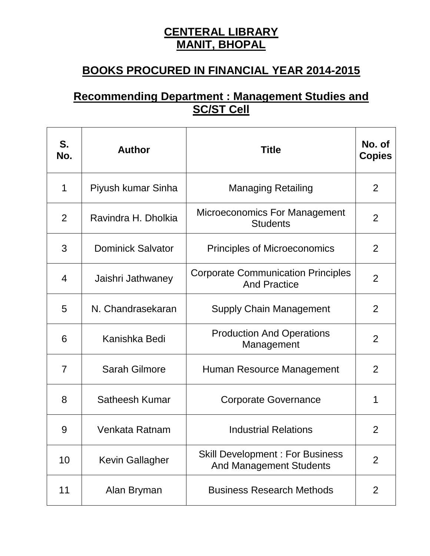## **CENTERAL LIBRARY MANIT, BHOPAL**

## **BOOKS PROCURED IN FINANCIAL YEAR 2014-2015**

## **Recommending Department : Management Studies and SC/ST Cell**

| S.<br>No.      | <b>Author</b>            | <b>Title</b>                                                             | No. of<br><b>Copies</b> |
|----------------|--------------------------|--------------------------------------------------------------------------|-------------------------|
| 1              | Piyush kumar Sinha       | <b>Managing Retailing</b>                                                | $\overline{2}$          |
| $\overline{2}$ | Ravindra H. Dholkia      | Microeconomics For Management<br><b>Students</b>                         | $\overline{2}$          |
| 3              | <b>Dominick Salvator</b> | <b>Principles of Microeconomics</b>                                      | $\overline{2}$          |
| 4              | Jaishri Jathwaney        | <b>Corporate Communication Principles</b><br><b>And Practice</b>         | $\overline{2}$          |
| 5              | N. Chandrasekaran        | <b>Supply Chain Management</b>                                           | 2                       |
| 6              | Kanishka Bedi            | <b>Production And Operations</b><br>Management                           | 2                       |
| $\overline{7}$ | <b>Sarah Gilmore</b>     | Human Resource Management                                                | $\overline{2}$          |
| 8              | Satheesh Kumar           | <b>Corporate Governance</b>                                              | 1                       |
| 9              | Venkata Ratnam           | <b>Industrial Relations</b>                                              | $\overline{2}$          |
| 10             | <b>Kevin Gallagher</b>   | <b>Skill Development: For Business</b><br><b>And Management Students</b> | $\overline{2}$          |
| 11             | Alan Bryman              | <b>Business Research Methods</b>                                         | 2                       |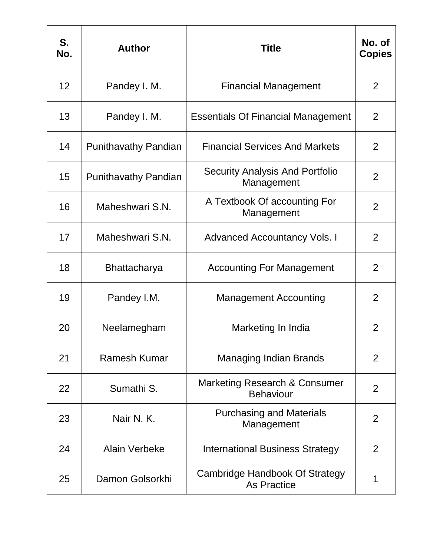| S.<br>No. | <b>Author</b>               | <b>Title</b>                                         | No. of<br><b>Copies</b> |
|-----------|-----------------------------|------------------------------------------------------|-------------------------|
| 12        | Pandey I. M.                | <b>Financial Management</b>                          | 2                       |
| 13        | Pandey I. M.                | <b>Essentials Of Financial Management</b>            | 2                       |
| 14        | <b>Punithavathy Pandian</b> | <b>Financial Services And Markets</b>                | 2                       |
| 15        | <b>Punithavathy Pandian</b> | <b>Security Analysis And Portfolio</b><br>Management | $\overline{2}$          |
| 16        | Maheshwari S.N.             | A Textbook Of accounting For<br>Management           | $\overline{2}$          |
| 17        | Maheshwari S.N.             | <b>Advanced Accountancy Vols. I</b>                  | 2                       |
| 18        | <b>Bhattacharya</b>         | <b>Accounting For Management</b>                     | 2                       |
| 19        | Pandey I.M.                 | <b>Management Accounting</b>                         | 2                       |
| 20        | Neelamegham                 | Marketing In India                                   | 2                       |
| 21        | <b>Ramesh Kumar</b>         | <b>Managing Indian Brands</b>                        | 2                       |
| 22        | Sumathi S.                  | Marketing Research & Consumer<br><b>Behaviour</b>    | $\overline{2}$          |
| 23        | Nair N.K.                   | <b>Purchasing and Materials</b><br>Management        | $\overline{2}$          |
| 24        | <b>Alain Verbeke</b>        | International Business Strategy                      | 2                       |
| 25        | Damon Golsorkhi             | Cambridge Handbook Of Strategy<br><b>As Practice</b> | 1                       |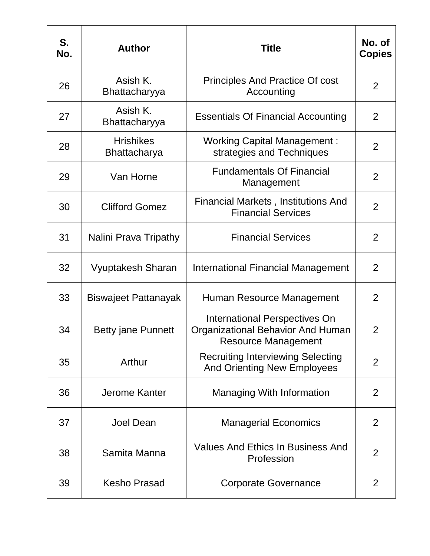| S.<br>No. | <b>Author</b>                           | <b>Title</b>                                                                                                   | No. of<br><b>Copies</b> |
|-----------|-----------------------------------------|----------------------------------------------------------------------------------------------------------------|-------------------------|
| 26        | Asish K.<br>Bhattacharyya               | <b>Principles And Practice Of cost</b><br>Accounting                                                           | 2                       |
| 27        | Asish K.<br>Bhattacharyya               | <b>Essentials Of Financial Accounting</b>                                                                      | 2                       |
| 28        | <b>Hrishikes</b><br><b>Bhattacharya</b> | <b>Working Capital Management:</b><br>strategies and Techniques                                                | $\overline{2}$          |
| 29        | Van Horne                               | <b>Fundamentals Of Financial</b><br>Management                                                                 | $\overline{2}$          |
| 30        | <b>Clifford Gomez</b>                   | <b>Financial Markets, Institutions And</b><br><b>Financial Services</b>                                        | $\overline{2}$          |
| 31        | Nalini Prava Tripathy                   | <b>Financial Services</b>                                                                                      | $\overline{2}$          |
| 32        | Vyuptakesh Sharan                       | <b>International Financial Management</b>                                                                      | 2                       |
| 33        | <b>Biswajeet Pattanayak</b>             | Human Resource Management                                                                                      | $\overline{2}$          |
| 34        | <b>Betty jane Punnett</b>               | <b>International Perspectives On</b><br><b>Organizational Behavior And Human</b><br><b>Resource Management</b> | $\overline{2}$          |
| 35        | Arthur                                  | <b>Recruiting Interviewing Selecting</b><br><b>And Orienting New Employees</b>                                 | $\overline{2}$          |
| 36        | Jerome Kanter                           | <b>Managing With Information</b>                                                                               | 2                       |
| 37        | <b>Joel Dean</b>                        | <b>Managerial Economics</b>                                                                                    | 2                       |
| 38        | Samita Manna                            | <b>Values And Ethics In Business And</b><br>Profession                                                         | $\overline{2}$          |
| 39        | <b>Kesho Prasad</b>                     | <b>Corporate Governance</b>                                                                                    | 2                       |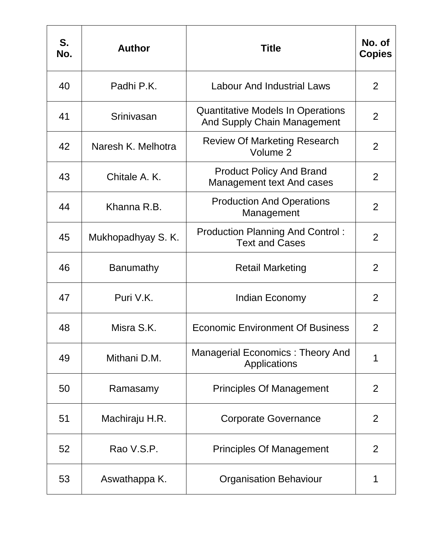| S.<br>No. | <b>Author</b>      | <b>Title</b>                                                            | No. of<br><b>Copies</b> |
|-----------|--------------------|-------------------------------------------------------------------------|-------------------------|
| 40        | Padhi P.K.         | <b>Labour And Industrial Laws</b>                                       | 2                       |
| 41        | Srinivasan         | <b>Quantitative Models In Operations</b><br>And Supply Chain Management | 2                       |
| 42        | Naresh K. Melhotra | <b>Review Of Marketing Research</b><br>Volume 2                         | 2                       |
| 43        | Chitale A. K.      | <b>Product Policy And Brand</b><br><b>Management text And cases</b>     | $\overline{2}$          |
| 44        | Khanna R.B.        | <b>Production And Operations</b><br>Management                          | 2                       |
| 45        | Mukhopadhyay S. K. | <b>Production Planning And Control:</b><br><b>Text and Cases</b>        | $\overline{2}$          |
| 46        | <b>Banumathy</b>   | <b>Retail Marketing</b>                                                 | 2                       |
| 47        | Puri V.K.          | Indian Economy                                                          | $\overline{2}$          |
| 48        | Misra S.K.         | <b>Economic Environment Of Business</b>                                 | $\overline{2}$          |
| 49        | Mithani D.M.       | <b>Managerial Economics: Theory And</b><br>Applications                 | 1                       |
| 50        | Ramasamy           | <b>Principles Of Management</b>                                         | 2                       |
| 51        | Machiraju H.R.     | <b>Corporate Governance</b>                                             | 2                       |
| 52        | Rao V.S.P.         | <b>Principles Of Management</b>                                         | 2                       |
| 53        | Aswathappa K.      | <b>Organisation Behaviour</b>                                           | 1                       |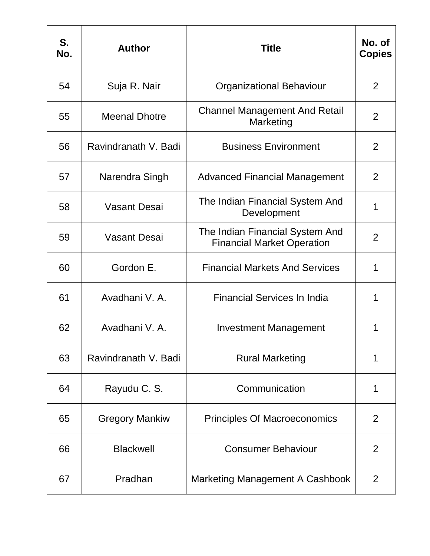| S.<br>No. | <b>Author</b>         | <b>Title</b>                                                         | No. of<br><b>Copies</b> |
|-----------|-----------------------|----------------------------------------------------------------------|-------------------------|
| 54        | Suja R. Nair          | <b>Organizational Behaviour</b>                                      | 2                       |
| 55        | <b>Meenal Dhotre</b>  | <b>Channel Management And Retail</b><br>Marketing                    | 2                       |
| 56        | Ravindranath V. Badi  | <b>Business Environment</b>                                          | 2                       |
| 57        | Narendra Singh        | <b>Advanced Financial Management</b>                                 | 2                       |
| 58        | <b>Vasant Desai</b>   | The Indian Financial System And<br>Development                       | 1                       |
| 59        | <b>Vasant Desai</b>   | The Indian Financial System And<br><b>Financial Market Operation</b> | $\overline{2}$          |
| 60        | Gordon E.             | <b>Financial Markets And Services</b>                                | 1                       |
| 61        | Avadhani V. A.        | <b>Financial Services In India</b>                                   | 1                       |
| 62        | Avadhani V. A.        | <b>Investment Management</b>                                         | 1                       |
| 63        | Ravindranath V. Badi  | <b>Rural Marketing</b>                                               | 1                       |
| 64        | Rayudu C. S.          | Communication                                                        | 1                       |
| 65        | <b>Gregory Mankiw</b> | <b>Principles Of Macroeconomics</b>                                  | $\overline{2}$          |
| 66        | <b>Blackwell</b>      | <b>Consumer Behaviour</b>                                            | 2                       |
| 67        | Pradhan               | <b>Marketing Management A Cashbook</b>                               | 2                       |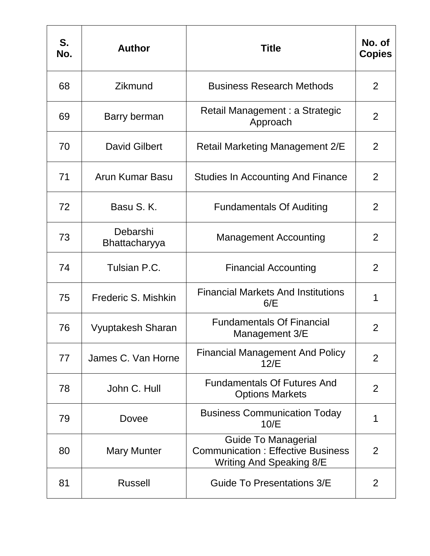| S.<br>No. | <b>Author</b>             | <b>Title</b>                                                                                              | No. of<br><b>Copies</b> |
|-----------|---------------------------|-----------------------------------------------------------------------------------------------------------|-------------------------|
| 68        | Zikmund                   | <b>Business Research Methods</b>                                                                          | 2                       |
| 69        | Barry berman              | Retail Management : a Strategic<br>Approach                                                               | 2                       |
| 70        | <b>David Gilbert</b>      | <b>Retail Marketing Management 2/E</b>                                                                    | 2                       |
| 71        | Arun Kumar Basu           | <b>Studies In Accounting And Finance</b>                                                                  | $\overline{2}$          |
| 72        | Basu S.K.                 | <b>Fundamentals Of Auditing</b>                                                                           | $\overline{2}$          |
| 73        | Debarshi<br>Bhattacharyya | <b>Management Accounting</b>                                                                              | 2                       |
| 74        | Tulsian P.C.              | <b>Financial Accounting</b>                                                                               | 2                       |
| 75        | Frederic S. Mishkin       | <b>Financial Markets And Institutions</b><br>6/E                                                          | 1                       |
| 76        | <b>Vyuptakesh Sharan</b>  | <b>Fundamentals Of Financial</b><br>Management 3/E                                                        | 2                       |
| 77        | James C. Van Horne        | <b>Financial Management And Policy</b><br>12/E                                                            | $\overline{2}$          |
| 78        | John C. Hull              | <b>Fundamentals Of Futures And</b><br><b>Options Markets</b>                                              | 2                       |
| 79        | Dovee                     | <b>Business Communication Today</b><br>10/E                                                               | 1                       |
| 80        | <b>Mary Munter</b>        | <b>Guide To Managerial</b><br><b>Communication: Effective Business</b><br><b>Writing And Speaking 8/E</b> | $\overline{2}$          |
| 81        | <b>Russell</b>            | Guide To Presentations 3/E                                                                                | 2                       |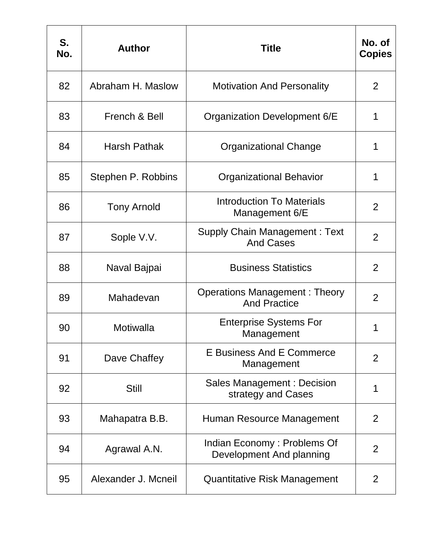| S.<br>No. | <b>Author</b>       | <b>Title</b>                                                | No. of<br><b>Copies</b> |
|-----------|---------------------|-------------------------------------------------------------|-------------------------|
| 82        | Abraham H. Maslow   | <b>Motivation And Personality</b>                           | 2                       |
| 83        | French & Bell       | Organization Development 6/E                                | 1                       |
| 84        | <b>Harsh Pathak</b> | <b>Organizational Change</b>                                | 1                       |
| 85        | Stephen P. Robbins  | <b>Organizational Behavior</b>                              | 1                       |
| 86        | <b>Tony Arnold</b>  | <b>Introduction To Materials</b><br>Management 6/E          | $\overline{2}$          |
| 87        | Sople V.V.          | <b>Supply Chain Management: Text</b><br><b>And Cases</b>    | $\overline{2}$          |
| 88        | Naval Bajpai        | <b>Business Statistics</b>                                  | $\overline{2}$          |
| 89        | Mahadevan           | <b>Operations Management: Theory</b><br><b>And Practice</b> | $\overline{2}$          |
| 90        | Motiwalla           | <b>Enterprise Systems For</b><br>Management                 | 1                       |
| 91        | Dave Chaffey        | <b>E Business And E Commerce</b><br>Management              | $\overline{2}$          |
| 92        | <b>Still</b>        | Sales Management: Decision<br>strategy and Cases            | 1                       |
| 93        | Mahapatra B.B.      | Human Resource Management                                   | 2                       |
| 94        | Agrawal A.N.        | Indian Economy: Problems Of<br>Development And planning     | 2                       |
| 95        | Alexander J. Mcneil | <b>Quantitative Risk Management</b>                         | 2                       |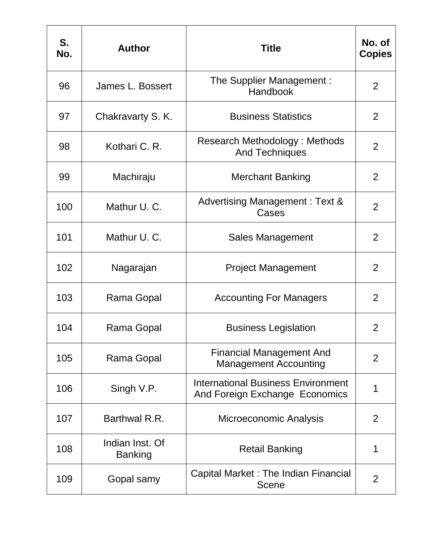| S.<br>No. | <b>Author</b>                     | <b>Title</b>                                                                | No. of<br><b>Copies</b> |
|-----------|-----------------------------------|-----------------------------------------------------------------------------|-------------------------|
| 96        | James L. Bossert                  | The Supplier Management :<br>Handbook                                       | $\overline{2}$          |
| 97        | Chakravarty S. K.                 | <b>Business Statistics</b>                                                  | 2                       |
| 98        | Kothari C. R.                     | <b>Research Methodology: Methods</b><br><b>And Techniques</b>               | 2                       |
| 99        | Machiraju                         | <b>Merchant Banking</b>                                                     | 2                       |
| 100       | Mathur U. C.                      | <b>Advertising Management: Text &amp;</b><br>Cases                          | $\overline{2}$          |
| 101       | Mathur U. C.                      | Sales Management                                                            | 2                       |
| 102       | Nagarajan                         | <b>Project Management</b>                                                   | 2                       |
| 103       | Rama Gopal                        | <b>Accounting For Managers</b>                                              | 2                       |
| 104       | Rama Gopal                        | <b>Business Legislation</b>                                                 | 2                       |
| 105       | Rama Gopal                        | <b>Financial Management And</b><br><b>Management Accounting</b>             | 2                       |
| 106       | Singh V.P.                        | <b>International Business Environment</b><br>And Foreign Exchange Economics | 1                       |
| 107       | Barthwal R.R.                     | Microeconomic Analysis                                                      | 2                       |
| 108       | Indian Inst. Of<br><b>Banking</b> | <b>Retail Banking</b>                                                       | 1                       |
| 109       | Gopal samy                        | Capital Market: The Indian Financial<br><b>Scene</b>                        | $\overline{2}$          |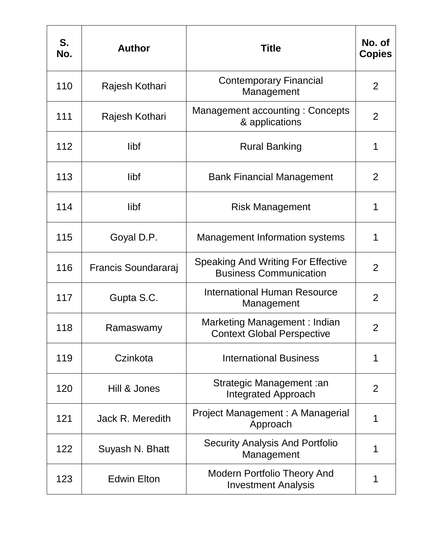| S.<br>No. | <b>Author</b>       | <b>Title</b>                                                               | No. of<br><b>Copies</b> |
|-----------|---------------------|----------------------------------------------------------------------------|-------------------------|
| 110       | Rajesh Kothari      | <b>Contemporary Financial</b><br>Management                                | $\overline{2}$          |
| 111       | Rajesh Kothari      | Management accounting: Concepts<br>& applications                          | 2                       |
| 112       | libf                | <b>Rural Banking</b>                                                       | 1                       |
| 113       | libf                | <b>Bank Financial Management</b>                                           | $\overline{2}$          |
| 114       | libf                | <b>Risk Management</b>                                                     | 1                       |
| 115       | Goyal D.P.          | <b>Management Information systems</b>                                      | 1                       |
| 116       | Francis Soundararaj | <b>Speaking And Writing For Effective</b><br><b>Business Communication</b> | 2                       |
| 117       | Gupta S.C.          | International Human Resource<br>Management                                 | 2                       |
| 118       | Ramaswamy           | Marketing Management: Indian<br><b>Context Global Perspective</b>          | $\overline{2}$          |
| 119       | Czinkota            | <b>International Business</b>                                              | 1                       |
| 120       | Hill & Jones        | Strategic Management : an<br><b>Integrated Approach</b>                    | 2                       |
| 121       | Jack R. Meredith    | Project Management: A Managerial<br>Approach                               | 1                       |
| 122       | Suyash N. Bhatt     | <b>Security Analysis And Portfolio</b><br>Management                       | 1                       |
| 123       | <b>Edwin Elton</b>  | Modern Portfolio Theory And<br><b>Investment Analysis</b>                  | 1                       |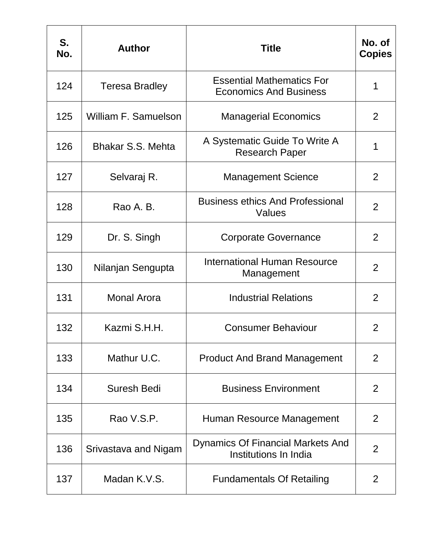| S.<br>No. | <b>Author</b>            | <b>Title</b>                                                      | No. of<br><b>Copies</b> |
|-----------|--------------------------|-------------------------------------------------------------------|-------------------------|
| 124       | <b>Teresa Bradley</b>    | <b>Essential Mathematics For</b><br><b>Economics And Business</b> | 1                       |
| 125       | William F. Samuelson     | <b>Managerial Economics</b>                                       | 2                       |
| 126       | <b>Bhakar S.S. Mehta</b> | A Systematic Guide To Write A<br><b>Research Paper</b>            | 1                       |
| 127       | Selvaraj R.              | <b>Management Science</b>                                         | 2                       |
| 128       | Rao A. B.                | <b>Business ethics And Professional</b><br>Values                 | 2                       |
| 129       | Dr. S. Singh             | <b>Corporate Governance</b>                                       | 2                       |
| 130       | Nilanjan Sengupta        | International Human Resource<br>Management                        | 2                       |
| 131       | <b>Monal Arora</b>       | <b>Industrial Relations</b>                                       | 2                       |
| 132       | Kazmi S.H.H.             | <b>Consumer Behaviour</b>                                         | $\overline{2}$          |
| 133       | Mathur U.C.              | <b>Product And Brand Management</b>                               | 2                       |
| 134       | <b>Suresh Bedi</b>       | <b>Business Environment</b>                                       | 2                       |
| 135       | Rao V.S.P.               | Human Resource Management                                         | 2                       |
| 136       | Srivastava and Nigam     | Dynamics Of Financial Markets And<br>Institutions In India        | $\overline{2}$          |
| 137       | Madan K.V.S.             | <b>Fundamentals Of Retailing</b>                                  | 2                       |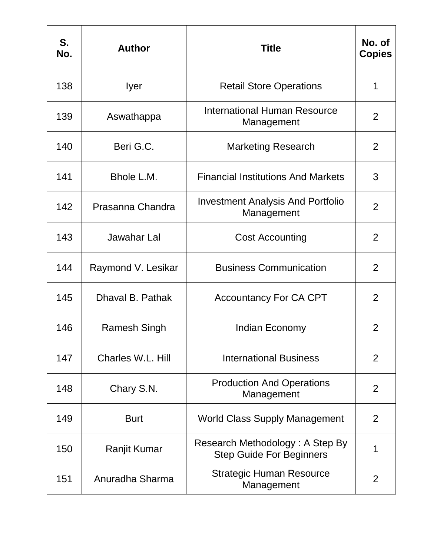| S.<br>No. | <b>Author</b>      | <b>Title</b>                                                       | No. of<br><b>Copies</b> |
|-----------|--------------------|--------------------------------------------------------------------|-------------------------|
| 138       | Iyer               | <b>Retail Store Operations</b>                                     | 1                       |
| 139       | Aswathappa         | <b>International Human Resource</b><br>Management                  | 2                       |
| 140       | Beri G.C.          | <b>Marketing Research</b>                                          | 2                       |
| 141       | Bhole L.M.         | <b>Financial Institutions And Markets</b>                          | 3                       |
| 142       | Prasanna Chandra   | <b>Investment Analysis And Portfolio</b><br>Management             | 2                       |
| 143       | Jawahar Lal        | <b>Cost Accounting</b>                                             | 2                       |
| 144       | Raymond V. Lesikar | <b>Business Communication</b>                                      | 2                       |
| 145       | Dhaval B. Pathak   | <b>Accountancy For CA CPT</b>                                      | 2                       |
| 146       | Ramesh Singh       | Indian Economy                                                     | 2                       |
| 147       | Charles W.L. Hill  | <b>International Business</b>                                      | 2                       |
| 148       | Chary S.N.         | <b>Production And Operations</b><br>Management                     | 2                       |
| 149       | <b>Burt</b>        | <b>World Class Supply Management</b>                               | 2                       |
| 150       | Ranjit Kumar       | Research Methodology: A Step By<br><b>Step Guide For Beginners</b> | 1                       |
| 151       | Anuradha Sharma    | <b>Strategic Human Resource</b><br>Management                      | $\overline{2}$          |